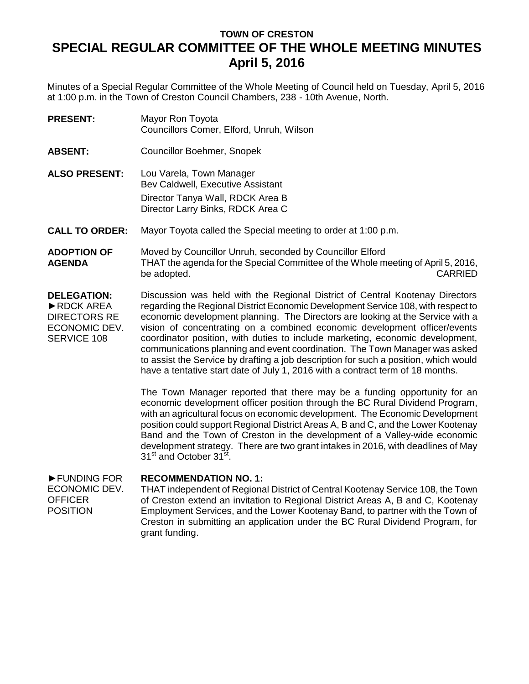## **TOWN OF CRESTON SPECIAL REGULAR COMMITTEE OF THE WHOLE MEETING MINUTES April 5, 2016**

Minutes of a Special Regular Committee of the Whole Meeting of Council held on Tuesday, April 5, 2016 at 1:00 p.m. in the Town of Creston Council Chambers, 238 - 10th Avenue, North.

| <b>PRESENT:</b> | Mayor Ron Toyota                         |
|-----------------|------------------------------------------|
|                 | Councillors Comer, Elford, Unruh, Wilson |

**ABSENT:** Councillor Boehmer, Snopek

**ALSO PRESENT:** Lou Varela, Town Manager Bev Caldwell, Executive Assistant Director Tanya Wall, RDCK Area B Director Larry Binks, RDCK Area C

**CALL TO ORDER:** Mayor Toyota called the Special meeting to order at 1:00 p.m.

**ADOPTION OF AGENDA** Moved by Councillor Unruh, seconded by Councillor Elford THAT the agenda for the Special Committee of the Whole meeting of April 5, 2016, be adopted. CARRIED

**DELEGATION:** ►RDCK AREA DIRECTORS RE ECONOMIC DEV. SERVICE 108 Discussion was held with the Regional District of Central Kootenay Directors regarding the Regional District Economic Development Service 108, with respect to economic development planning. The Directors are looking at the Service with a vision of concentrating on a combined economic development officer/events coordinator position, with duties to include marketing, economic development, communications planning and event coordination. The Town Manager was asked to assist the Service by drafting a job description for such a position, which would have a tentative start date of July 1, 2016 with a contract term of 18 months.

> The Town Manager reported that there may be a funding opportunity for an economic development officer position through the BC Rural Dividend Program, with an agricultural focus on economic development. The Economic Development position could support Regional District Areas A, B and C, and the Lower Kootenay Band and the Town of Creston in the development of a Valley-wide economic development strategy. There are two grant intakes in 2016, with deadlines of May 31<sup>st</sup> and October 31<sup>st</sup>.

## ►FUNDING FOR **RECOMMENDATION NO. 1:**

ECONOMIC DEV. **OFFICER** POSITION THAT independent of Regional District of Central Kootenay Service 108, the Town of Creston extend an invitation to Regional District Areas A, B and C, Kootenay Employment Services, and the Lower Kootenay Band, to partner with the Town of Creston in submitting an application under the BC Rural Dividend Program, for grant funding.